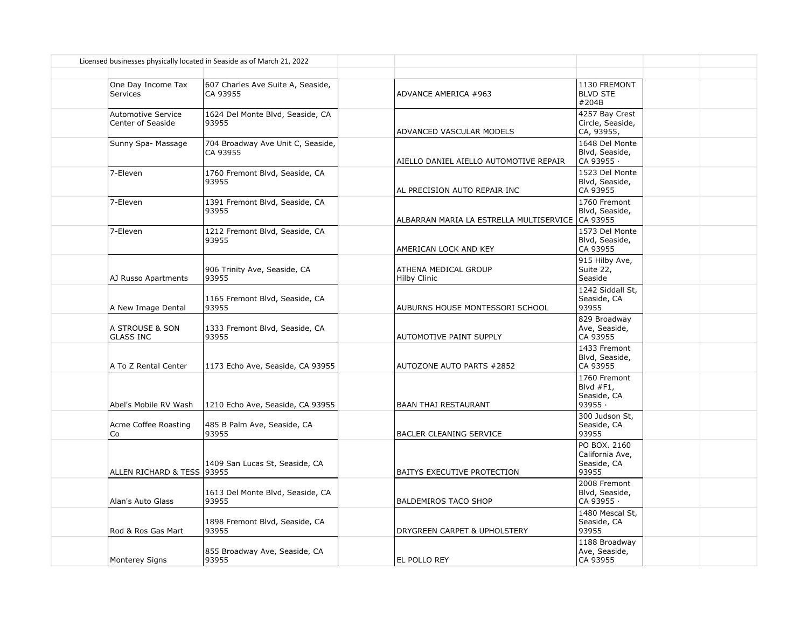|                                                | Licensed businesses physically located in Seaside as of March 21, 2022 |                                                  |                                                         |  |
|------------------------------------------------|------------------------------------------------------------------------|--------------------------------------------------|---------------------------------------------------------|--|
| One Day Income Tax<br>Services                 | 607 Charles Ave Suite A, Seaside,<br>CA 93955                          | ADVANCE AMERICA #963                             | 1130 FREMONT<br><b>BLVD STE</b><br>#204B                |  |
| <b>Automotive Service</b><br>Center of Seaside | 1624 Del Monte Blvd, Seaside, CA<br>93955                              | ADVANCED VASCULAR MODELS                         | 4257 Bay Crest<br>Circle, Seaside,<br>CA, 93955,        |  |
| Sunny Spa- Massage                             | 704 Broadway Ave Unit C, Seaside,<br>CA 93955                          | AIELLO DANIEL AIELLO AUTOMOTIVE REPAIR           | 1648 Del Monte<br>Blvd, Seaside,<br>CA 93955 ·          |  |
| 7-Eleven                                       | 1760 Fremont Blvd, Seaside, CA<br>93955                                | AL PRECISION AUTO REPAIR INC                     | 1523 Del Monte<br>Blvd, Seaside,<br>CA 93955            |  |
| 7-Eleven                                       | 1391 Fremont Blvd, Seaside, CA<br>93955                                | ALBARRAN MARIA LA ESTRELLA MULTISERVICE CA 93955 | 1760 Fremont<br>Blvd, Seaside,                          |  |
| 7-Eleven                                       | 1212 Fremont Blvd, Seaside, CA<br>93955                                | AMERICAN LOCK AND KEY                            | 1573 Del Monte<br>Blvd, Seaside,<br>CA 93955            |  |
| AJ Russo Apartments                            | 906 Trinity Ave, Seaside, CA<br>93955                                  | ATHENA MEDICAL GROUP<br><b>Hilby Clinic</b>      | 915 Hilby Ave,<br>Suite 22,<br>Seaside                  |  |
| A New Image Dental                             | 1165 Fremont Blvd, Seaside, CA<br>93955                                | AUBURNS HOUSE MONTESSORI SCHOOL                  | 1242 Siddall St,<br>Seaside, CA<br>93955                |  |
| A STROUSE & SON<br><b>GLASS INC</b>            | 1333 Fremont Blvd, Seaside, CA<br>93955                                | AUTOMOTIVE PAINT SUPPLY                          | 829 Broadway<br>Ave, Seaside,<br>CA 93955               |  |
| A To Z Rental Center                           | 1173 Echo Ave, Seaside, CA 93955                                       | AUTOZONE AUTO PARTS #2852                        | 1433 Fremont<br>Blvd, Seaside,<br>CA 93955              |  |
| Abel's Mobile RV Wash                          | 1210 Echo Ave, Seaside, CA 93955                                       | <b>BAAN THAI RESTAURANT</b>                      | 1760 Fremont<br>Blvd $#F1$ ,<br>Seaside, CA<br>93955.   |  |
| Acme Coffee Roasting<br>Co                     | 485 B Palm Ave, Seaside, CA<br>93955                                   | BACLER CLEANING SERVICE                          | 300 Judson St,<br>Seaside, CA<br>93955                  |  |
| ALLEN RICHARD & TESS 193955                    | 1409 San Lucas St, Seaside, CA                                         | BAITYS EXECUTIVE PROTECTION                      | PO BOX, 2160<br>California Ave,<br>Seaside, CA<br>93955 |  |
| Alan's Auto Glass                              | 1613 Del Monte Blvd, Seaside, CA<br>93955                              | <b>BALDEMIROS TACO SHOP</b>                      | 2008 Fremont<br>Blvd, Seaside,<br>CA 93955 ·            |  |
| Rod & Ros Gas Mart                             | 1898 Fremont Blvd, Seaside, CA<br>93955                                | DRYGREEN CARPET & UPHOLSTERY                     | 1480 Mescal St,<br>Seaside, CA<br>93955                 |  |
| <b>Monterey Signs</b>                          | 855 Broadway Ave, Seaside, CA<br>93955                                 | EL POLLO REY                                     | 1188 Broadway<br>Ave, Seaside,<br>CA 93955              |  |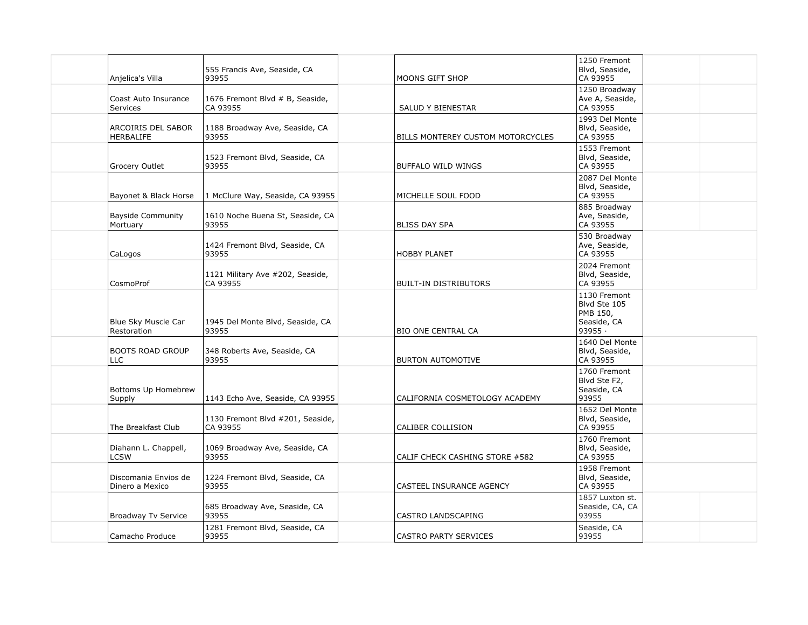| Anjelica's Villa                        | 555 Francis Ave, Seaside, CA<br>93955        | MOONS GIFT SHOP                   | 1250 Fremont<br>Blvd, Seaside,<br>CA 93955                         |  |
|-----------------------------------------|----------------------------------------------|-----------------------------------|--------------------------------------------------------------------|--|
| Coast Auto Insurance<br><b>Services</b> | 1676 Fremont Blvd # B, Seaside,<br>CA 93955  | SALUD Y BIENESTAR                 | 1250 Broadway<br>Ave A, Seaside,<br>CA 93955                       |  |
| ARCOIRIS DEL SABOR<br><b>HERBALIFE</b>  | 1188 Broadway Ave, Seaside, CA<br>93955      | BILLS MONTEREY CUSTOM MOTORCYCLES | 1993 Del Monte<br>Blvd, Seaside,<br>CA 93955                       |  |
| Grocery Outlet                          | 1523 Fremont Blvd, Seaside, CA<br>93955      | BUFFALO WILD WINGS                | 1553 Fremont<br>Blvd, Seaside,<br>CA 93955                         |  |
| Bayonet & Black Horse                   | 1 McClure Way, Seaside, CA 93955             | MICHELLE SOUL FOOD                | 2087 Del Monte<br>Blvd, Seaside,<br>CA 93955                       |  |
| <b>Bayside Community</b><br>Mortuary    | 1610 Noche Buena St, Seaside, CA<br>93955    | <b>BLISS DAY SPA</b>              | 885 Broadway<br>Ave, Seaside,<br>CA 93955                          |  |
| CaLogos                                 | 1424 Fremont Blvd, Seaside, CA<br>93955      | <b>HOBBY PLANET</b>               | 530 Broadway<br>Ave, Seaside,<br>CA 93955                          |  |
| CosmoProf                               | 1121 Military Ave #202, Seaside,<br>CA 93955 | <b>BUILT-IN DISTRIBUTORS</b>      | 2024 Fremont<br>Blvd, Seaside,<br>CA 93955                         |  |
| Blue Sky Muscle Car<br>Restoration      | 1945 Del Monte Blvd, Seaside, CA<br>93955    | <b>BIO ONE CENTRAL CA</b>         | 1130 Fremont<br>Blvd Ste 105<br>PMB 150,<br>Seaside, CA<br>93955 · |  |
| <b>BOOTS ROAD GROUP</b><br><b>LLC</b>   | 348 Roberts Ave, Seaside, CA<br>93955        | <b>BURTON AUTOMOTIVE</b>          | 1640 Del Monte<br>Blvd, Seaside,<br>CA 93955                       |  |
| Bottoms Up Homebrew<br>Supply           | 1143 Echo Ave, Seaside, CA 93955             | CALIFORNIA COSMETOLOGY ACADEMY    | 1760 Fremont<br>Blvd Ste F2,<br>Seaside, CA<br>93955               |  |
| The Breakfast Club                      | 1130 Fremont Blvd #201, Seaside,<br>CA 93955 | CALIBER COLLISION                 | 1652 Del Monte<br>Blvd, Seaside,<br>CA 93955                       |  |
| Diahann L. Chappell,<br><b>LCSW</b>     | 1069 Broadway Ave, Seaside, CA<br>93955      | CALIF CHECK CASHING STORE #582    | 1760 Fremont<br>Blvd, Seaside,<br>CA 93955                         |  |
| Discomania Envios de<br>Dinero a Mexico | 1224 Fremont Blvd, Seaside, CA<br>93955      | CASTEEL INSURANCE AGENCY          | 1958 Fremont<br>Blvd, Seaside,<br>CA 93955                         |  |
| Broadway Tv Service                     | 685 Broadway Ave, Seaside, CA<br>93955       | CASTRO LANDSCAPING                | 1857 Luxton st.<br>Seaside, CA, CA<br>93955                        |  |
| Camacho Produce                         | 1281 Fremont Blvd, Seaside, CA<br>93955      | CASTRO PARTY SERVICES             | Seaside, CA<br>93955                                               |  |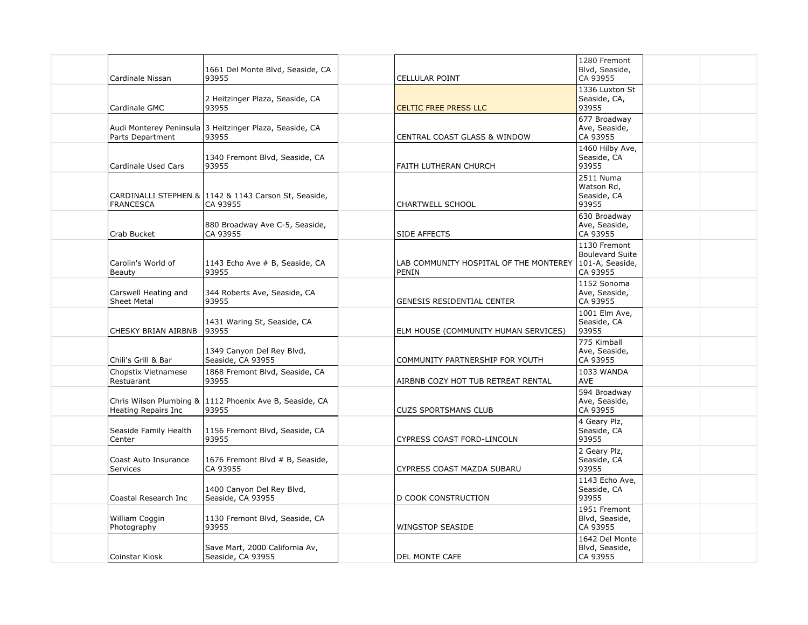|                    | Cardinale Nissan                            | 1661 Del Monte Blvd, Seaside, CA<br>93955                        | <b>CELLULAR POINT</b>                           | 1280 Fremont<br>Blvd, Seaside,<br>CA 93955                            |  |
|--------------------|---------------------------------------------|------------------------------------------------------------------|-------------------------------------------------|-----------------------------------------------------------------------|--|
|                    | Cardinale GMC                               | 2 Heitzinger Plaza, Seaside, CA<br>93955                         | <b>CELTIC FREE PRESS LLC</b>                    | 1336 Luxton St<br>Seaside, CA,<br>93955                               |  |
|                    | Audi Monterey Peninsula<br>Parts Department | 3 Heitzinger Plaza, Seaside, CA<br>93955                         | <b>CENTRAL COAST GLASS &amp; WINDOW</b>         | 677 Broadway<br>Ave, Seaside,<br>CA 93955                             |  |
|                    | Cardinale Used Cars                         | 1340 Fremont Blvd, Seaside, CA<br>93955                          | FAITH LUTHERAN CHURCH                           | 1460 Hilby Ave,<br>Seaside, CA<br>93955                               |  |
| <b>FRANCESCA</b>   |                                             | CARDINALLI STEPHEN & 1142 & 1143 Carson St, Seaside,<br>CA 93955 | CHARTWELL SCHOOL                                | 2511 Numa<br>Watson Rd,<br>Seaside, CA<br>93955                       |  |
| Crab Bucket        |                                             | 880 Broadway Ave C-5, Seaside,<br>CA 93955                       | <b>SIDE AFFECTS</b>                             | 630 Broadway<br>Ave, Seaside,<br>CA 93955                             |  |
| Beauty             | Carolin's World of                          | 1143 Echo Ave # B, Seaside, CA<br>93955                          | LAB COMMUNITY HOSPITAL OF THE MONTEREY<br>PENIN | 1130 Fremont<br><b>Boulevard Suite</b><br>101-A, Seaside,<br>CA 93955 |  |
| <b>Sheet Metal</b> | Carswell Heating and                        | 344 Roberts Ave, Seaside, CA<br>93955                            | <b>GENESIS RESIDENTIAL CENTER</b>               | 1152 Sonoma<br>Ave, Seaside,<br>CA 93955                              |  |
|                    | CHESKY BRIAN AIRBNB                         | 1431 Waring St, Seaside, CA<br>93955                             | ELM HOUSE (COMMUNITY HUMAN SERVICES)            | 1001 Elm Ave,<br>Seaside, CA<br>93955                                 |  |
|                    | Chili's Grill & Bar                         | 1349 Canyon Del Rey Blvd,<br>Seaside, CA 93955                   | COMMUNITY PARTNERSHIP FOR YOUTH                 | 775 Kimball<br>Ave, Seaside,<br>CA 93955                              |  |
| Restuarant         | Chopstix Vietnamese                         | 1868 Fremont Blvd, Seaside, CA<br>93955                          | AIRBNB COZY HOT TUB RETREAT RENTAL              | 1033 WANDA<br><b>AVE</b>                                              |  |
|                    | Heating Repairs Inc                         | Chris Wilson Plumbing & 1112 Phoenix Ave B, Seaside, CA<br>93955 | <b>CUZS SPORTSMANS CLUB</b>                     | 594 Broadway<br>Ave, Seaside,<br>CA 93955                             |  |
| Center             | Seaside Family Health                       | 1156 Fremont Blvd, Seaside, CA<br>93955                          | CYPRESS COAST FORD-LINCOLN                      | 4 Geary Plz,<br>Seaside, CA<br>93955                                  |  |
| <b>Services</b>    | Coast Auto Insurance                        | 1676 Fremont Blvd # B, Seaside,<br>CA 93955                      | CYPRESS COAST MAZDA SUBARU                      | 2 Geary Plz,<br>Seaside, CA<br>93955                                  |  |
|                    | Coastal Research Inc                        | 1400 Canyon Del Rey Blvd,<br>Seaside, CA 93955                   | D COOK CONSTRUCTION                             | 1143 Echo Ave,<br>Seaside, CA<br>93955                                |  |
| Photography        | William Coggin                              | 1130 Fremont Blvd, Seaside, CA<br>93955                          | WINGSTOP SEASIDE                                | 1951 Fremont<br>Blvd, Seaside,<br>CA 93955                            |  |
|                    | Coinstar Kiosk                              | Save Mart, 2000 California Av,<br>Seaside, CA 93955              | DEL MONTE CAFE                                  | 1642 Del Monte<br>Blvd, Seaside,<br>CA 93955                          |  |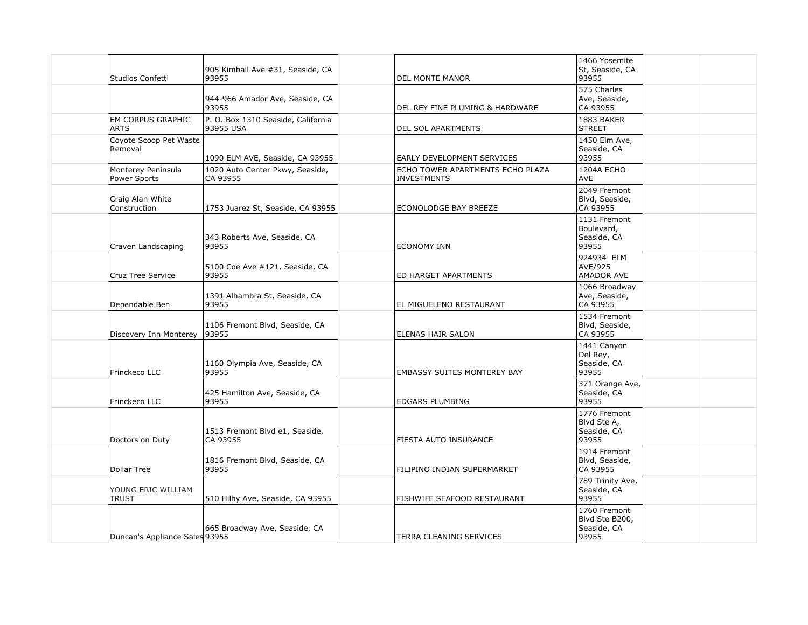| Studios Confetti                        | 905 Kimball Ave #31, Seaside, CA<br>93955       | DEL MONTE MANOR                                        | 1466 Yosemite<br>St, Seaside, CA<br>93955              |  |
|-----------------------------------------|-------------------------------------------------|--------------------------------------------------------|--------------------------------------------------------|--|
|                                         | 944-966 Amador Ave, Seaside, CA<br>93955        | DEL REY FINE PLUMING & HARDWARE                        | $\overline{575}$ Charles<br>Ave, Seaside,<br>CA 93955  |  |
| <b>EM CORPUS GRAPHIC</b><br><b>ARTS</b> | P. O. Box 1310 Seaside, California<br>93955 USA | <b>DEL SOL APARTMENTS</b>                              | 1883 BAKER<br><b>STREET</b>                            |  |
| Coyote Scoop Pet Waste<br>Removal       | 1090 ELM AVE, Seaside, CA 93955                 | EARLY DEVELOPMENT SERVICES                             | 1450 Elm Ave,<br>Seaside, CA<br>93955                  |  |
| Monterey Peninsula<br>Power Sports      | 1020 Auto Center Pkwy, Seaside,<br>CA 93955     | ECHO TOWER APARTMENTS ECHO PLAZA<br><b>INVESTMENTS</b> | 1204A ECHO<br>AVE                                      |  |
| Craig Alan White<br>Construction        | 1753 Juarez St, Seaside, CA 93955               | ECONOLODGE BAY BREEZE                                  | 2049 Fremont<br>Blvd, Seaside,<br>CA 93955             |  |
| Craven Landscaping                      | 343 Roberts Ave, Seaside, CA<br>93955           | ECONOMY INN                                            | 1131 Fremont<br>Boulevard,<br>Seaside, CA<br>93955     |  |
| <b>Cruz Tree Service</b>                | 5100 Coe Ave #121, Seaside, CA<br>93955         | ED HARGET APARTMENTS                                   | 924934 ELM<br>AVE/925<br>AMADOR AVE                    |  |
| Dependable Ben                          | 1391 Alhambra St, Seaside, CA<br>93955          | EL MIGUELENO RESTAURANT                                | 1066 Broadway<br>Ave, Seaside,<br>CA 93955             |  |
| Discovery Inn Monterey   93955          | 1106 Fremont Blvd, Seaside, CA                  | <b>ELENAS HAIR SALON</b>                               | 1534 Fremont<br>Blvd, Seaside,<br>CA 93955             |  |
| Frinckeco LLC                           | 1160 Olympia Ave, Seaside, CA<br>93955          | EMBASSY SUITES MONTEREY BAY                            | 1441 Canyon<br>Del Rey,<br>Seaside, CA<br>93955        |  |
| Frinckeco LLC                           | 425 Hamilton Ave, Seaside, CA<br>93955          | <b>EDGARS PLUMBING</b>                                 | 371 Orange Ave,<br>Seaside, CA<br>93955                |  |
| Doctors on Duty                         | 1513 Fremont Blvd e1, Seaside,<br>CA 93955      | FIESTA AUTO INSURANCE                                  | 1776 Fremont<br>Blvd Ste A,<br>Seaside, CA<br>93955    |  |
| Dollar Tree                             | 1816 Fremont Blvd, Seaside, CA<br>93955         | FILIPINO INDIAN SUPERMARKET                            | 1914 Fremont<br>Blvd, Seaside,<br>CA 93955             |  |
| YOUNG ERIC WILLIAM<br><b>TRUST</b>      | 510 Hilby Ave, Seaside, CA 93955                | FISHWIFE SEAFOOD RESTAURANT                            | 789 Trinity Ave,<br>Seaside, CA<br>93955               |  |
| Duncan's Appliance Sales 93955          | 665 Broadway Ave, Seaside, CA                   | <b>TERRA CLEANING SERVICES</b>                         | 1760 Fremont<br>Blvd Ste B200,<br>Seaside, CA<br>93955 |  |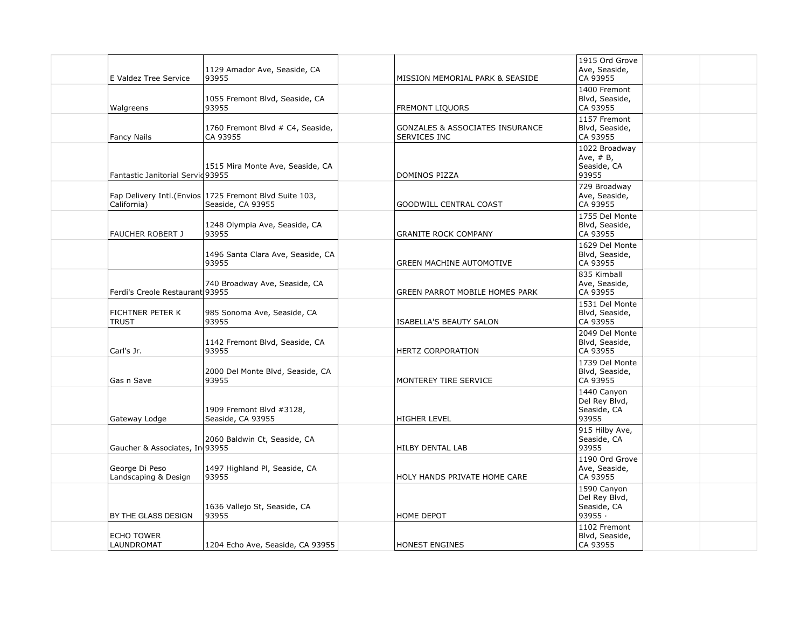|                                 | E Valdez Tree Service             | 1129 Amador Ave, Seaside, CA<br>93955                                        | MISSION MEMORIAL PARK & SEASIDE                                   | 1915 Ord Grove<br>Ave, Seaside,<br>CA 93955            |  |
|---------------------------------|-----------------------------------|------------------------------------------------------------------------------|-------------------------------------------------------------------|--------------------------------------------------------|--|
| Walgreens                       |                                   | 1055 Fremont Blvd, Seaside, CA<br>93955                                      | <b>FREMONT LIQUORS</b>                                            | 1400 Fremont<br>Blvd, Seaside,<br>CA 93955             |  |
| <b>Fancy Nails</b>              |                                   | 1760 Fremont Blvd # C4, Seaside,<br>CA 93955                                 | <b>GONZALES &amp; ASSOCIATES INSURANCE</b><br><b>SERVICES INC</b> | 1157 Fremont<br>Blvd, Seaside,<br>CA 93955             |  |
|                                 | Fantastic Janitorial Servid 93955 | 1515 Mira Monte Ave, Seaside, CA                                             | DOMINOS PIZZA                                                     | 1022 Broadway<br>Ave, $# B$ ,<br>Seaside, CA<br>93955  |  |
| California)                     |                                   | Fap Delivery Intl. (Envios 1725 Fremont Blvd Suite 103,<br>Seaside, CA 93955 | <b>GOODWILL CENTRAL COAST</b>                                     | 729 Broadway<br>Ave, Seaside,<br>CA 93955              |  |
|                                 | <b>FAUCHER ROBERT J</b>           | 1248 Olympia Ave, Seaside, CA<br>93955                                       | <b>GRANITE ROCK COMPANY</b>                                       | 1755 Del Monte<br>Blvd, Seaside,<br>CA 93955           |  |
|                                 |                                   | 1496 Santa Clara Ave, Seaside, CA<br>93955                                   | <b>GREEN MACHINE AUTOMOTIVE</b>                                   | 1629 Del Monte<br>Blvd, Seaside,<br>CA 93955           |  |
|                                 | Ferdi's Creole Restaurant 93955   | 740 Broadway Ave, Seaside, CA                                                | GREEN PARROT MOBILE HOMES PARK                                    | 835 Kimball<br>Ave, Seaside,<br>CA 93955               |  |
| <b>TRUST</b>                    | FICHTNER PETER K                  | 985 Sonoma Ave, Seaside, CA<br>93955                                         | <b>ISABELLA'S BEAUTY SALON</b>                                    | 1531 Del Monte<br>Blvd, Seaside,<br>CA 93955           |  |
| Carl's Jr.                      |                                   | 1142 Fremont Blvd, Seaside, CA<br>93955                                      | HERTZ CORPORATION                                                 | 2049 Del Monte<br>Blvd, Seaside,<br>CA 93955           |  |
| Gas n Save                      |                                   | 2000 Del Monte Blvd, Seaside, CA<br>93955                                    | MONTEREY TIRE SERVICE                                             | 1739 Del Monte<br>Blvd, Seaside,<br>CA 93955           |  |
| Gateway Lodge                   |                                   | 1909 Fremont Blvd #3128,<br>Seaside, CA 93955                                | <b>HIGHER LEVEL</b>                                               | 1440 Canyon<br>Del Rey Blvd,<br>Seaside, CA<br>93955   |  |
|                                 | Gaucher & Associates, In 93955    | 2060 Baldwin Ct, Seaside, CA                                                 | <b>HILBY DENTAL LAB</b>                                           | 915 Hilby Ave,<br>Seaside, CA<br>93955                 |  |
| George Di Peso                  | Landscaping & Design              | 1497 Highland Pl, Seaside, CA<br>93955                                       | HOLY HANDS PRIVATE HOME CARE                                      | 1190 Ord Grove<br>Ave, Seaside,<br>CA 93955            |  |
|                                 | BY THE GLASS DESIGN               | 1636 Vallejo St, Seaside, CA<br>93955                                        | HOME DEPOT                                                        | 1590 Canyon<br>Del Rey Blvd,<br>Seaside, CA<br>93955 · |  |
| <b>ECHO TOWER</b><br>LAUNDROMAT |                                   | 1204 Echo Ave, Seaside, CA 93955                                             | HONEST ENGINES                                                    | 1102 Fremont<br>Blvd, Seaside,<br>CA 93955             |  |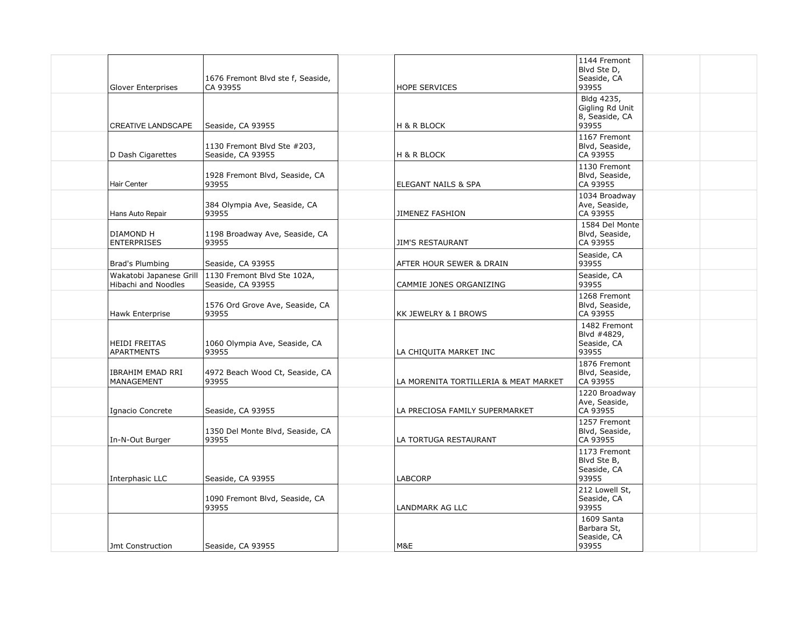| <b>Glover Enterprises</b>                      | 1676 Fremont Blvd ste f, Seaside,<br>CA 93955    | <b>HOPE SERVICES</b>                  | 1144 Fremont<br>Blvd Ste D,<br>Seaside, CA<br>93955      |  |
|------------------------------------------------|--------------------------------------------------|---------------------------------------|----------------------------------------------------------|--|
| <b>CREATIVE LANDSCAPE</b>                      | Seaside, CA 93955                                | H & R BLOCK                           | Bldg 4235,<br>Gigling Rd Unit<br>8, Seaside, CA<br>93955 |  |
| D Dash Cigarettes                              | 1130 Fremont Blvd Ste #203,<br>Seaside, CA 93955 | H & R BLOCK                           | 1167 Fremont<br>Blvd, Seaside,<br>CA 93955               |  |
| Hair Center                                    | 1928 Fremont Blvd, Seaside, CA<br>93955          | ELEGANT NAILS & SPA                   | 1130 Fremont<br>Blvd, Seaside,<br>CA 93955               |  |
| Hans Auto Repair                               | 384 Olympia Ave, Seaside, CA<br>93955            | JIMENEZ FASHION                       | 1034 Broadway<br>Ave, Seaside,<br>CA 93955               |  |
| DIAMOND H<br><b>ENTERPRISES</b>                | 1198 Broadway Ave, Seaside, CA<br>93955          | <b>JIM'S RESTAURANT</b>               | 1584 Del Monte<br>Blvd, Seaside,<br>CA 93955             |  |
| Brad's Plumbing                                | Seaside, CA 93955                                | AFTER HOUR SEWER & DRAIN              | Seaside, CA<br>93955                                     |  |
| Wakatobi Japanese Grill<br>Hibachi and Noodles | 1130 Fremont Blvd Ste 102A,<br>Seaside, CA 93955 | CAMMIE JONES ORGANIZING               | Seaside, CA<br>93955                                     |  |
| Hawk Enterprise                                | 1576 Ord Grove Ave, Seaside, CA<br>93955         | KK JEWELRY & I BROWS                  | 1268 Fremont<br>Blvd, Seaside,<br>CA 93955               |  |
| <b>HEIDI FREITAS</b><br><b>APARTMENTS</b>      | 1060 Olympia Ave, Seaside, CA<br>93955           | LA CHIQUITA MARKET INC                | 1482 Fremont<br>Blvd #4829,<br>Seaside, CA<br>93955      |  |
| <b>IBRAHIM EMAD RRI</b><br>MANAGEMENT          | 4972 Beach Wood Ct, Seaside, CA<br>93955         | LA MORENITA TORTILLERIA & MEAT MARKET | 1876 Fremont<br>Blvd, Seaside,<br>CA 93955               |  |
| Ignacio Concrete                               | Seaside, CA 93955                                | LA PRECIOSA FAMILY SUPERMARKET        | 1220 Broadway<br>Ave, Seaside,<br>CA 93955               |  |
| In-N-Out Burger                                | 1350 Del Monte Blvd, Seaside, CA<br>93955        | LA TORTUGA RESTAURANT                 | 1257 Fremont<br>Blvd, Seaside,<br>CA 93955               |  |
| Interphasic LLC                                | Seaside, CA 93955                                | <b>LABCORP</b>                        | 1173 Fremont<br>Blvd Ste B,<br>Seaside, CA<br>93955      |  |
|                                                | 1090 Fremont Blvd, Seaside, CA<br>93955          | LANDMARK AG LLC                       | 212 Lowell St,<br>Seaside, CA<br>93955                   |  |
| Jmt Construction                               | Seaside, CA 93955                                | M&E                                   | 1609 Santa<br>Barbara St,<br>Seaside, CA<br>93955        |  |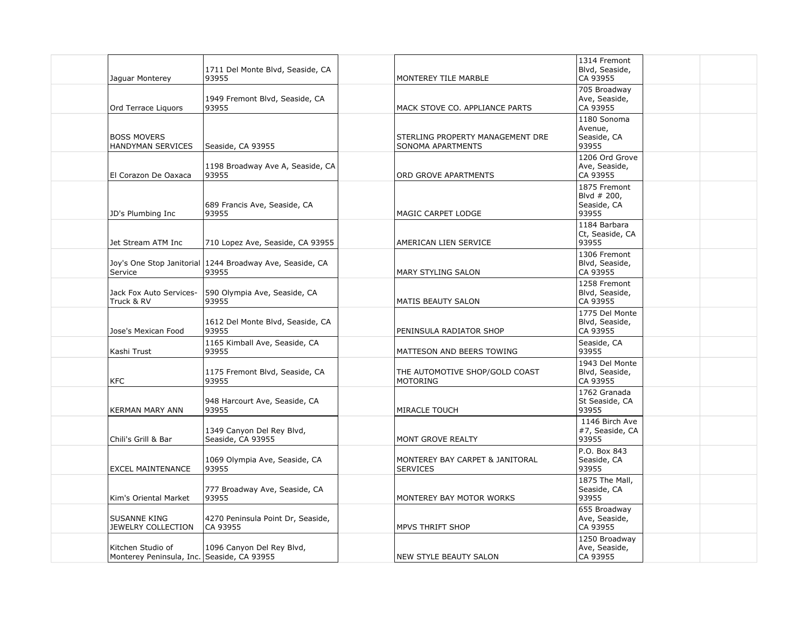| Jaguar Monterey                                                 | 1711 Del Monte Blvd, Seaside, CA<br>93955                           | MONTEREY TILE MARBLE                                  | 1314 Fremont<br>Blvd, Seaside,<br>CA 93955          |  |
|-----------------------------------------------------------------|---------------------------------------------------------------------|-------------------------------------------------------|-----------------------------------------------------|--|
| Ord Terrace Liquors                                             | 1949 Fremont Blvd, Seaside, CA<br>93955                             | MACK STOVE CO. APPLIANCE PARTS                        | 705 Broadway<br>Ave, Seaside,<br>CA 93955           |  |
| <b>BOSS MOVERS</b><br>HANDYMAN SERVICES                         | Seaside, CA 93955                                                   | STERLING PROPERTY MANAGEMENT DRE<br>SONOMA APARTMENTS | 1180 Sonoma<br>Avenue,<br>Seaside, CA<br>93955      |  |
| El Corazon De Oaxaca                                            | 1198 Broadway Ave A, Seaside, CA<br>93955                           | ORD GROVE APARTMENTS                                  | 1206 Ord Grove<br>Ave, Seaside,<br>CA 93955         |  |
| JD's Plumbing Inc                                               | 689 Francis Ave, Seaside, CA<br>93955                               | MAGIC CARPET LODGE                                    | 1875 Fremont<br>Blvd # 200,<br>Seaside, CA<br>93955 |  |
| Jet Stream ATM Inc                                              | 710 Lopez Ave, Seaside, CA 93955                                    | AMERICAN LIEN SERVICE                                 | 1184 Barbara<br>Ct, Seaside, CA<br>93955            |  |
| Service                                                         | Joy's One Stop Janitorial   1244 Broadway Ave, Seaside, CA<br>93955 | <b>MARY STYLING SALON</b>                             | 1306 Fremont<br>Blvd, Seaside,<br>CA 93955          |  |
| Jack Fox Auto Services-<br>Truck & RV                           | 590 Olympia Ave, Seaside, CA<br>93955                               | <b>MATIS BEAUTY SALON</b>                             | 1258 Fremont<br>Blvd, Seaside,<br>CA 93955          |  |
| Jose's Mexican Food                                             | 1612 Del Monte Blvd, Seaside, CA<br>93955                           | PENINSULA RADIATOR SHOP                               | 1775 Del Monte<br>Blvd, Seaside,<br>CA 93955        |  |
| Kashi Trust                                                     | 1165 Kimball Ave, Seaside, CA<br>93955                              | MATTESON AND BEERS TOWING                             | Seaside, CA<br>93955                                |  |
| <b>KFC</b>                                                      | 1175 Fremont Blvd, Seaside, CA<br>93955                             | THE AUTOMOTIVE SHOP/GOLD COAST<br><b>MOTORING</b>     | 1943 Del Monte<br>Blvd, Seaside,<br>CA 93955        |  |
| <b>KERMAN MARY ANN</b>                                          | 948 Harcourt Ave, Seaside, CA<br>93955                              | MIRACLE TOUCH                                         | 1762 Granada<br>St Seaside, CA<br>93955             |  |
| Chili's Grill & Bar                                             | 1349 Canyon Del Rey Blvd,<br>Seaside, CA 93955                      | MONT GROVE REALTY                                     | 1146 Birch Ave<br>#7, Seaside, CA<br>93955          |  |
| <b>EXCEL MAINTENANCE</b>                                        | 1069 Olympia Ave, Seaside, CA<br>93955                              | MONTEREY BAY CARPET & JANITORAL<br><b>SERVICES</b>    | P.O. Box 843<br>Seaside, CA<br>93955                |  |
| Kim's Oriental Market                                           | 777 Broadway Ave, Seaside, CA<br>93955                              | MONTEREY BAY MOTOR WORKS                              | 1875 The Mall,<br>Seaside, CA<br>93955              |  |
| <b>SUSANNE KING</b><br>JEWELRY COLLECTION                       | 4270 Peninsula Point Dr, Seaside,<br>CA 93955                       | MPVS THRIFT SHOP                                      | 655 Broadway<br>Ave, Seaside,<br>CA 93955           |  |
| Kitchen Studio of<br>Monterey Peninsula, Inc. Seaside, CA 93955 | 1096 Canyon Del Rey Blvd,                                           | <b>NEW STYLE BEAUTY SALON</b>                         | 1250 Broadway<br>Ave, Seaside,<br>CA 93955          |  |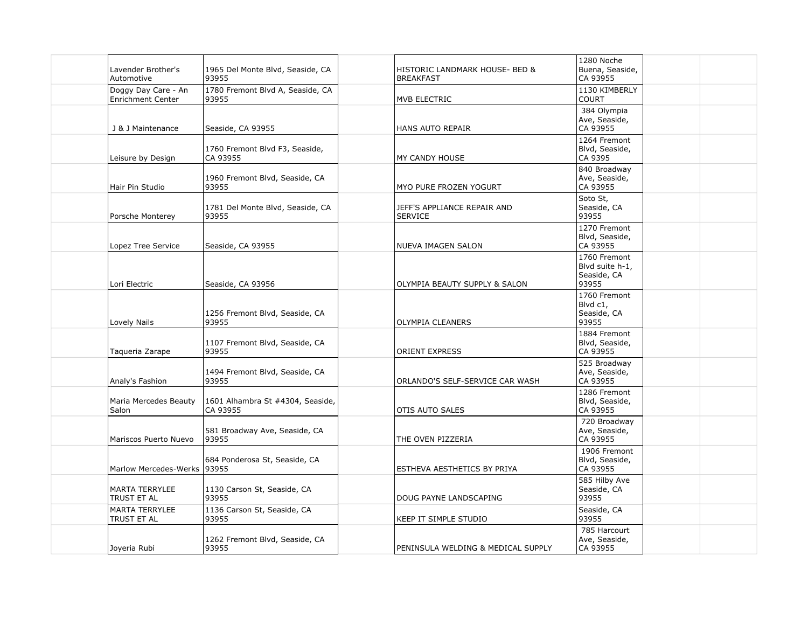| 1280 Noche<br>Lavender Brother's<br>1965 Del Monte Blvd, Seaside, CA<br>Buena, Seaside,<br>HISTORIC LANDMARK HOUSE- BED &<br>CA 93955<br>Automotive<br>93955<br><b>BREAKFAST</b><br>1780 Fremont Blvd A, Seaside, CA<br>1130 KIMBERLY<br>Doggy Day Care - An<br><b>Enrichment Center</b><br>93955<br><b>COURT</b><br>MVB ELECTRIC<br>384 Olympia<br>Ave, Seaside,<br>CA 93955<br>J & J Maintenance<br>Seaside, CA 93955<br>HANS AUTO REPAIR<br>1264 Fremont<br>1760 Fremont Blvd F3, Seaside,<br>Blvd, Seaside,<br>CA 93955<br>CA 9395<br>Leisure by Design<br>MY CANDY HOUSE<br>840 Broadway<br>1960 Fremont Blvd, Seaside, CA<br>Ave, Seaside,<br>CA 93955<br>Hair Pin Studio<br>93955<br>MYO PURE FROZEN YOGURT<br>Soto St,<br>Seaside, CA<br>1781 Del Monte Blvd, Seaside, CA<br>JEFF'S APPLIANCE REPAIR AND<br>93955<br>93955<br>Porsche Monterey<br><b>SERVICE</b><br>1270 Fremont<br>Blvd, Seaside,<br><b>NUEVA IMAGEN SALON</b><br>CA 93955<br>Lopez Tree Service<br>Seaside, CA 93955<br>1760 Fremont<br>Blvd suite h-1,<br>Seaside, CA<br>93955<br>Lori Electric<br>OLYMPIA BEAUTY SUPPLY & SALON<br>Seaside, CA 93956<br>1760 Fremont<br>Blvd c1,<br>1256 Fremont Blvd, Seaside, CA<br>Seaside, CA<br>93955<br>93955<br>Lovely Nails<br><b>OLYMPIA CLEANERS</b><br>1884 Fremont<br>1107 Fremont Blvd, Seaside, CA<br>Blvd, Seaside,<br>93955<br><b>ORIENT EXPRESS</b><br>CA 93955<br>Taqueria Zarape<br>525 Broadway<br>1494 Fremont Blvd, Seaside, CA<br>Ave, Seaside,<br>93955<br>CA 93955<br>Analy's Fashion<br>ORLANDO'S SELF-SERVICE CAR WASH<br>1286 Fremont<br>Blvd, Seaside,<br>Maria Mercedes Beauty<br>1601 Alhambra St #4304, Seaside,<br>CA 93955<br>CA 93955<br>Salon<br>OTIS AUTO SALES<br>720 Broadway<br>581 Broadway Ave, Seaside, CA<br>Ave, Seaside,<br>CA 93955<br>93955<br>Mariscos Puerto Nuevo<br>THE OVEN PIZZERIA<br>1906 Fremont<br>684 Ponderosa St, Seaside, CA<br>Blvd, Seaside,<br>93955<br>CA 93955<br>Marlow Mercedes-Werks<br>ESTHEVA AESTHETICS BY PRIYA<br>585 Hilby Ave<br>1130 Carson St, Seaside, CA<br>Seaside, CA<br><b>MARTA TERRYLEE</b><br>93955<br>93955<br>TRUST ET AL<br>DOUG PAYNE LANDSCAPING<br>1136 Carson St, Seaside, CA<br><b>MARTA TERRYLEE</b><br>Seaside, CA<br>93955<br>93955<br>TRUST ET AL<br>KEEP IT SIMPLE STUDIO<br>785 Harcourt<br>1262 Fremont Blvd, Seaside, CA<br>Ave, Seaside, |              |       |                                    |          |  |
|--------------------------------------------------------------------------------------------------------------------------------------------------------------------------------------------------------------------------------------------------------------------------------------------------------------------------------------------------------------------------------------------------------------------------------------------------------------------------------------------------------------------------------------------------------------------------------------------------------------------------------------------------------------------------------------------------------------------------------------------------------------------------------------------------------------------------------------------------------------------------------------------------------------------------------------------------------------------------------------------------------------------------------------------------------------------------------------------------------------------------------------------------------------------------------------------------------------------------------------------------------------------------------------------------------------------------------------------------------------------------------------------------------------------------------------------------------------------------------------------------------------------------------------------------------------------------------------------------------------------------------------------------------------------------------------------------------------------------------------------------------------------------------------------------------------------------------------------------------------------------------------------------------------------------------------------------------------------------------------------------------------------------------------------------------------------------------------------------------------------------------------------------------------------------------------------------------------------------------------------------------------------------------------------------------------------------------------------------------------|--------------|-------|------------------------------------|----------|--|
|                                                                                                                                                                                                                                                                                                                                                                                                                                                                                                                                                                                                                                                                                                                                                                                                                                                                                                                                                                                                                                                                                                                                                                                                                                                                                                                                                                                                                                                                                                                                                                                                                                                                                                                                                                                                                                                                                                                                                                                                                                                                                                                                                                                                                                                                                                                                                              |              |       |                                    |          |  |
|                                                                                                                                                                                                                                                                                                                                                                                                                                                                                                                                                                                                                                                                                                                                                                                                                                                                                                                                                                                                                                                                                                                                                                                                                                                                                                                                                                                                                                                                                                                                                                                                                                                                                                                                                                                                                                                                                                                                                                                                                                                                                                                                                                                                                                                                                                                                                              |              |       |                                    |          |  |
|                                                                                                                                                                                                                                                                                                                                                                                                                                                                                                                                                                                                                                                                                                                                                                                                                                                                                                                                                                                                                                                                                                                                                                                                                                                                                                                                                                                                                                                                                                                                                                                                                                                                                                                                                                                                                                                                                                                                                                                                                                                                                                                                                                                                                                                                                                                                                              |              |       |                                    |          |  |
|                                                                                                                                                                                                                                                                                                                                                                                                                                                                                                                                                                                                                                                                                                                                                                                                                                                                                                                                                                                                                                                                                                                                                                                                                                                                                                                                                                                                                                                                                                                                                                                                                                                                                                                                                                                                                                                                                                                                                                                                                                                                                                                                                                                                                                                                                                                                                              |              |       |                                    |          |  |
|                                                                                                                                                                                                                                                                                                                                                                                                                                                                                                                                                                                                                                                                                                                                                                                                                                                                                                                                                                                                                                                                                                                                                                                                                                                                                                                                                                                                                                                                                                                                                                                                                                                                                                                                                                                                                                                                                                                                                                                                                                                                                                                                                                                                                                                                                                                                                              |              |       |                                    |          |  |
|                                                                                                                                                                                                                                                                                                                                                                                                                                                                                                                                                                                                                                                                                                                                                                                                                                                                                                                                                                                                                                                                                                                                                                                                                                                                                                                                                                                                                                                                                                                                                                                                                                                                                                                                                                                                                                                                                                                                                                                                                                                                                                                                                                                                                                                                                                                                                              |              |       |                                    |          |  |
|                                                                                                                                                                                                                                                                                                                                                                                                                                                                                                                                                                                                                                                                                                                                                                                                                                                                                                                                                                                                                                                                                                                                                                                                                                                                                                                                                                                                                                                                                                                                                                                                                                                                                                                                                                                                                                                                                                                                                                                                                                                                                                                                                                                                                                                                                                                                                              |              |       |                                    |          |  |
|                                                                                                                                                                                                                                                                                                                                                                                                                                                                                                                                                                                                                                                                                                                                                                                                                                                                                                                                                                                                                                                                                                                                                                                                                                                                                                                                                                                                                                                                                                                                                                                                                                                                                                                                                                                                                                                                                                                                                                                                                                                                                                                                                                                                                                                                                                                                                              |              |       |                                    |          |  |
|                                                                                                                                                                                                                                                                                                                                                                                                                                                                                                                                                                                                                                                                                                                                                                                                                                                                                                                                                                                                                                                                                                                                                                                                                                                                                                                                                                                                                                                                                                                                                                                                                                                                                                                                                                                                                                                                                                                                                                                                                                                                                                                                                                                                                                                                                                                                                              |              |       |                                    |          |  |
|                                                                                                                                                                                                                                                                                                                                                                                                                                                                                                                                                                                                                                                                                                                                                                                                                                                                                                                                                                                                                                                                                                                                                                                                                                                                                                                                                                                                                                                                                                                                                                                                                                                                                                                                                                                                                                                                                                                                                                                                                                                                                                                                                                                                                                                                                                                                                              |              |       |                                    |          |  |
|                                                                                                                                                                                                                                                                                                                                                                                                                                                                                                                                                                                                                                                                                                                                                                                                                                                                                                                                                                                                                                                                                                                                                                                                                                                                                                                                                                                                                                                                                                                                                                                                                                                                                                                                                                                                                                                                                                                                                                                                                                                                                                                                                                                                                                                                                                                                                              |              |       |                                    |          |  |
|                                                                                                                                                                                                                                                                                                                                                                                                                                                                                                                                                                                                                                                                                                                                                                                                                                                                                                                                                                                                                                                                                                                                                                                                                                                                                                                                                                                                                                                                                                                                                                                                                                                                                                                                                                                                                                                                                                                                                                                                                                                                                                                                                                                                                                                                                                                                                              |              |       |                                    |          |  |
|                                                                                                                                                                                                                                                                                                                                                                                                                                                                                                                                                                                                                                                                                                                                                                                                                                                                                                                                                                                                                                                                                                                                                                                                                                                                                                                                                                                                                                                                                                                                                                                                                                                                                                                                                                                                                                                                                                                                                                                                                                                                                                                                                                                                                                                                                                                                                              |              |       |                                    |          |  |
|                                                                                                                                                                                                                                                                                                                                                                                                                                                                                                                                                                                                                                                                                                                                                                                                                                                                                                                                                                                                                                                                                                                                                                                                                                                                                                                                                                                                                                                                                                                                                                                                                                                                                                                                                                                                                                                                                                                                                                                                                                                                                                                                                                                                                                                                                                                                                              |              |       |                                    |          |  |
|                                                                                                                                                                                                                                                                                                                                                                                                                                                                                                                                                                                                                                                                                                                                                                                                                                                                                                                                                                                                                                                                                                                                                                                                                                                                                                                                                                                                                                                                                                                                                                                                                                                                                                                                                                                                                                                                                                                                                                                                                                                                                                                                                                                                                                                                                                                                                              |              |       |                                    |          |  |
|                                                                                                                                                                                                                                                                                                                                                                                                                                                                                                                                                                                                                                                                                                                                                                                                                                                                                                                                                                                                                                                                                                                                                                                                                                                                                                                                                                                                                                                                                                                                                                                                                                                                                                                                                                                                                                                                                                                                                                                                                                                                                                                                                                                                                                                                                                                                                              |              |       |                                    |          |  |
|                                                                                                                                                                                                                                                                                                                                                                                                                                                                                                                                                                                                                                                                                                                                                                                                                                                                                                                                                                                                                                                                                                                                                                                                                                                                                                                                                                                                                                                                                                                                                                                                                                                                                                                                                                                                                                                                                                                                                                                                                                                                                                                                                                                                                                                                                                                                                              | Joyeria Rubi | 93955 | PENINSULA WELDING & MEDICAL SUPPLY | CA 93955 |  |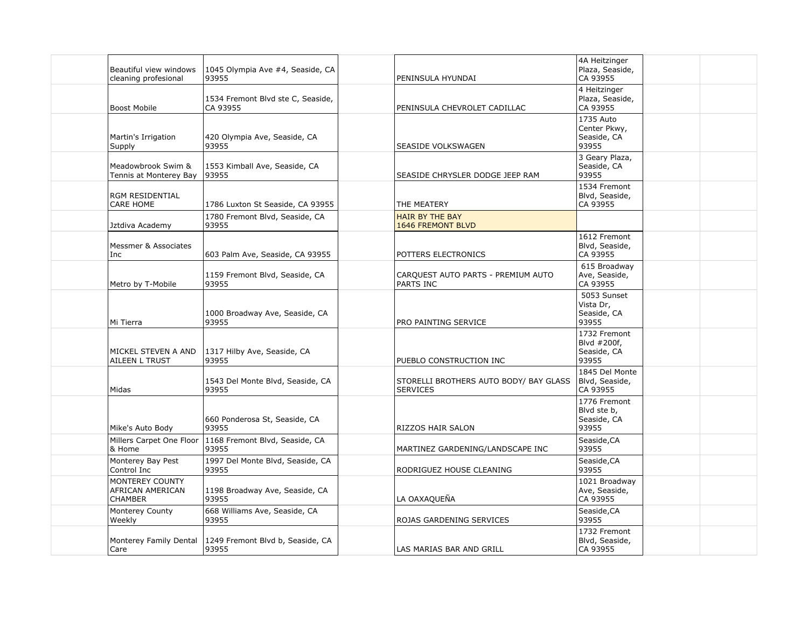| Beautiful view windows<br>cleaning profesional        | 1045 Olympia Ave #4, Seaside, CA<br>93955     | PENINSULA HYUNDAI                                         | 4A Heitzinger<br>Plaza, Seaside,<br>CA 93955        |  |
|-------------------------------------------------------|-----------------------------------------------|-----------------------------------------------------------|-----------------------------------------------------|--|
| <b>Boost Mobile</b>                                   | 1534 Fremont Blvd ste C, Seaside,<br>CA 93955 | PENINSULA CHEVROLET CADILLAC                              | 4 Heitzinger<br>Plaza, Seaside,<br>CA 93955         |  |
| Martin's Irrigation<br>Supply                         | 420 Olympia Ave, Seaside, CA<br>93955         | SEASIDE VOLKSWAGEN                                        | 1735 Auto<br>Center Pkwy,<br>Seaside, CA<br>93955   |  |
| Meadowbrook Swim &<br>Tennis at Monterey Bay          | 1553 Kimball Ave, Seaside, CA<br>93955        | SEASIDE CHRYSLER DODGE JEEP RAM                           | 3 Geary Plaza,<br>Seaside, CA<br>93955              |  |
| RGM RESIDENTIAL<br>CARE HOME                          | 1786 Luxton St Seaside, CA 93955              | THE MEATERY                                               | 1534 Fremont<br>Blvd, Seaside,<br>CA 93955          |  |
| Jztdiva Academy                                       | 1780 Fremont Blvd, Seaside, CA<br>93955       | <b>HAIR BY THE BAY</b><br><b>1646 FREMONT BLVD</b>        |                                                     |  |
| Messmer & Associates<br>Inc                           | 603 Palm Ave, Seaside, CA 93955               | POTTERS ELECTRONICS                                       | 1612 Fremont<br>Blvd, Seaside,<br>CA 93955          |  |
| Metro by T-Mobile                                     | 1159 Fremont Blvd, Seaside, CA<br>93955       | CARQUEST AUTO PARTS - PREMIUM AUTO<br><b>PARTS INC</b>    | 615 Broadway<br>Ave, Seaside,<br>CA 93955           |  |
| Mi Tierra                                             | 1000 Broadway Ave, Seaside, CA<br>93955       | PRO PAINTING SERVICE                                      | 5053 Sunset<br>Vista Dr,<br>Seaside, CA<br>93955    |  |
| MICKEL STEVEN A AND<br>AILEEN L TRUST                 | 1317 Hilby Ave, Seaside, CA<br>93955          | PUEBLO CONSTRUCTION INC                                   | 1732 Fremont<br>Blvd #200f,<br>Seaside, CA<br>93955 |  |
| Midas                                                 | 1543 Del Monte Blvd, Seaside, CA<br>93955     | STORELLI BROTHERS AUTO BODY/ BAY GLASS<br><b>SERVICES</b> | 1845 Del Monte<br>Blvd, Seaside,<br>CA 93955        |  |
| Mike's Auto Body                                      | 660 Ponderosa St, Seaside, CA<br>93955        | RIZZOS HAIR SALON                                         | 1776 Fremont<br>Blvd ste b,<br>Seaside, CA<br>93955 |  |
| Millers Carpet One Floor<br>& Home                    | 1168 Fremont Blvd, Seaside, CA<br>93955       | MARTINEZ GARDENING/LANDSCAPE INC                          | Seaside, CA<br>93955                                |  |
| Monterey Bay Pest<br>Control Inc                      | 1997 Del Monte Blvd, Seaside, CA<br>93955     | RODRIGUEZ HOUSE CLEANING                                  | Seaside, CA<br>93955                                |  |
| MONTEREY COUNTY<br>AFRICAN AMERICAN<br><b>CHAMBER</b> | 1198 Broadway Ave, Seaside, CA<br>93955       | LA OAXAQUEÑA                                              | 1021 Broadway<br>Ave, Seaside,<br>CA 93955          |  |
| Monterey County<br>Weekly                             | 668 Williams Ave, Seaside, CA<br>93955        | ROJAS GARDENING SERVICES                                  | Seaside, CA<br>93955                                |  |
| Monterey Family Dental<br>Care                        | 1249 Fremont Blvd b, Seaside, CA<br>93955     | LAS MARIAS BAR AND GRILL                                  | 1732 Fremont<br>Blvd, Seaside,<br>CA 93955          |  |
|                                                       |                                               |                                                           |                                                     |  |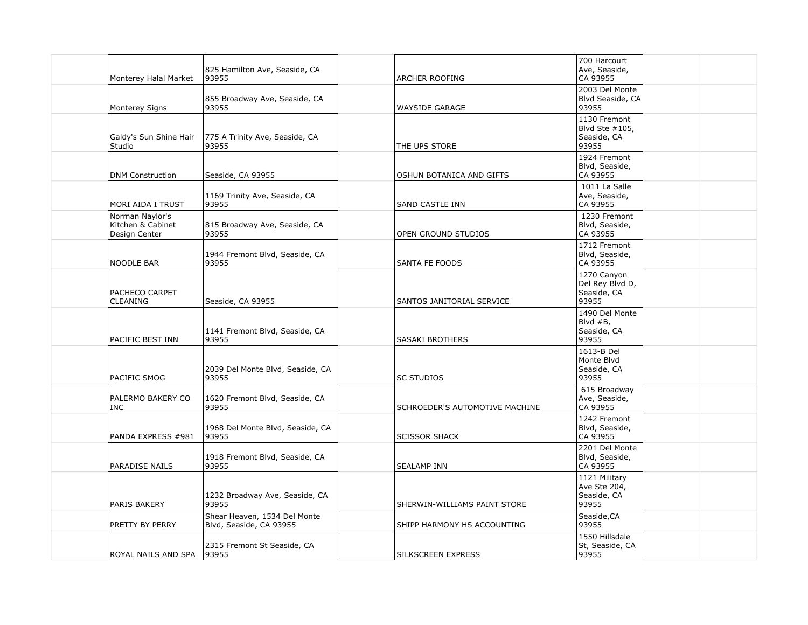| Monterey Halal Market                                 | 825 Hamilton Ave, Seaside, CA<br>93955                  | <b>ARCHER ROOFING</b>          | 700 Harcourt<br>Ave, Seaside,<br>CA 93955              |
|-------------------------------------------------------|---------------------------------------------------------|--------------------------------|--------------------------------------------------------|
| Monterey Signs                                        | 855 Broadway Ave, Seaside, CA<br>93955                  | <b>WAYSIDE GARAGE</b>          | 2003 Del Monte<br>Blvd Seaside, CA<br>93955            |
| Galdy's Sun Shine Hair<br>Studio                      | 775 A Trinity Ave, Seaside, CA<br>93955                 | THE UPS STORE                  | 1130 Fremont<br>Blvd Ste #105,<br>Seaside, CA<br>93955 |
| <b>DNM Construction</b>                               | Seaside, CA 93955                                       | OSHUN BOTANICA AND GIFTS       | 1924 Fremont<br>Blvd, Seaside,<br>CA 93955             |
| MORI AIDA I TRUST                                     | 1169 Trinity Ave, Seaside, CA<br>93955                  | SAND CASTLE INN                | 1011 La Salle<br>Ave, Seaside,<br>CA 93955             |
| Norman Naylor's<br>Kitchen & Cabinet<br>Design Center | 815 Broadway Ave, Seaside, CA<br>93955                  | OPEN GROUND STUDIOS            | 1230 Fremont<br>Blvd, Seaside,<br>CA 93955             |
| NOODLE BAR                                            | 1944 Fremont Blvd, Seaside, CA<br>93955                 | <b>SANTA FE FOODS</b>          | 1712 Fremont<br>Blvd, Seaside,<br>CA 93955             |
| PACHECO CARPET<br><b>CLEANING</b>                     | Seaside, CA 93955                                       | SANTOS JANITORIAL SERVICE      | 1270 Canyon<br>Del Rey Blvd D,<br>Seaside, CA<br>93955 |
| PACIFIC BEST INN                                      | 1141 Fremont Blvd, Seaside, CA<br>93955                 | SASAKI BROTHERS                | 1490 Del Monte<br>Blvd #B,<br>Seaside, CA<br>93955     |
| PACIFIC SMOG                                          | 2039 Del Monte Blvd, Seaside, CA<br>93955               | <b>SC STUDIOS</b>              | 1613-B Del<br>Monte Blvd<br>Seaside, CA<br>93955       |
| PALERMO BAKERY CO<br><b>INC</b>                       | 1620 Fremont Blvd, Seaside, CA<br>93955                 | SCHROEDER'S AUTOMOTIVE MACHINE | 615 Broadway<br>Ave, Seaside,<br>CA 93955              |
| PANDA EXPRESS #981                                    | 1968 Del Monte Blvd, Seaside, CA<br>93955               | <b>SCISSOR SHACK</b>           | 1242 Fremont<br>Blvd, Seaside,<br>CA 93955             |
| <b>PARADISE NAILS</b>                                 | 1918 Fremont Blvd, Seaside, CA<br>93955                 | <b>SEALAMP INN</b>             | 2201 Del Monte<br>Blvd, Seaside,<br>CA 93955           |
| PARIS BAKERY                                          | 1232 Broadway Ave, Seaside, CA<br>93955                 | SHERWIN-WILLIAMS PAINT STORE   | 1121 Military<br>Ave Ste 204,<br>Seaside, CA<br>93955  |
| PRETTY BY PERRY                                       | Shear Heaven, 1534 Del Monte<br>Blvd, Seaside, CA 93955 | SHIPP HARMONY HS ACCOUNTING    | Seaside, CA<br>93955                                   |
| ROYAL NAILS AND SPA                                   | 2315 Fremont St Seaside, CA<br>93955                    | SILKSCREEN EXPRESS             | 1550 Hillsdale<br>St, Seaside, CA<br>93955             |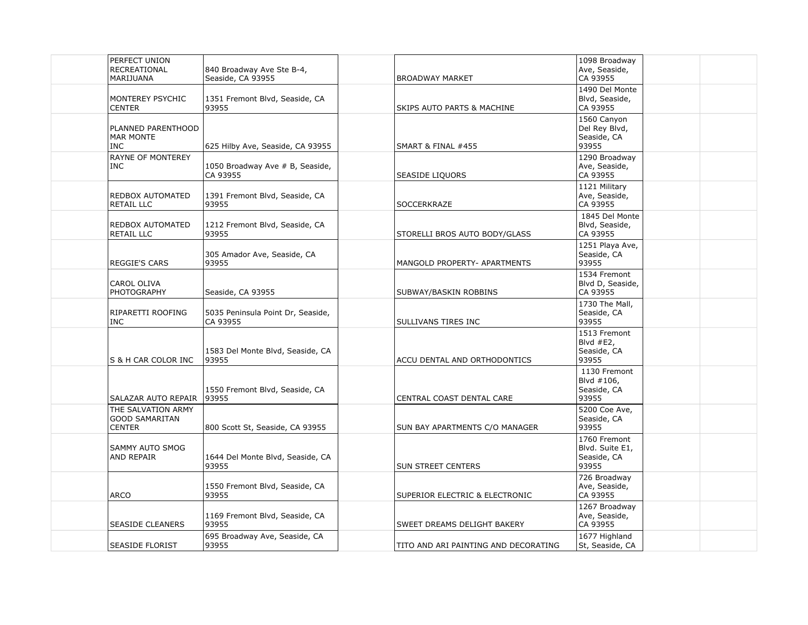| PERFECT UNION<br>RECREATIONAL<br>MARIJUANA                   | 840 Broadway Ave Ste B-4,<br>Seaside, CA 93955 | <b>BROADWAY MARKET</b>                | 1098 Broadway<br>Ave, Seaside,<br>CA 93955              |  |
|--------------------------------------------------------------|------------------------------------------------|---------------------------------------|---------------------------------------------------------|--|
| MONTEREY PSYCHIC<br><b>CENTER</b>                            | 1351 Fremont Blvd, Seaside, CA<br>93955        | <b>SKIPS AUTO PARTS &amp; MACHINE</b> | 1490 Del Monte<br>Blvd, Seaside,<br>CA 93955            |  |
| PLANNED PARENTHOOD<br><b>MAR MONTE</b><br><b>INC</b>         | 625 Hilby Ave, Seaside, CA 93955               | SMART & FINAL #455                    | 1560 Canyon<br>Del Rey Blvd,<br>Seaside, CA<br>93955    |  |
| RAYNE OF MONTEREY<br><b>INC</b>                              | 1050 Broadway Ave # B, Seaside,<br>CA 93955    | SEASIDE LIQUORS                       | 1290 Broadway<br>Ave, Seaside,<br>CA 93955              |  |
| REDBOX AUTOMATED<br><b>RETAIL LLC</b>                        | 1391 Fremont Blvd, Seaside, CA<br>93955        | SOCCERKRAZE                           | 1121 Military<br>Ave, Seaside,<br>CA 93955              |  |
| REDBOX AUTOMATED<br>RETAIL LLC                               | 1212 Fremont Blvd, Seaside, CA<br>93955        | STORELLI BROS AUTO BODY/GLASS         | 1845 Del Monte<br>Blvd, Seaside,<br>CA 93955            |  |
| <b>REGGIE'S CARS</b>                                         | 305 Amador Ave, Seaside, CA<br>93955           | MANGOLD PROPERTY- APARTMENTS          | 1251 Playa Ave,<br>Seaside, CA<br>93955                 |  |
| CAROL OLIVA<br><b>PHOTOGRAPHY</b>                            | Seaside, CA 93955                              | SUBWAY/BASKIN ROBBINS                 | 1534 Fremont<br>Blvd D, Seaside,<br>CA 93955            |  |
| RIPARETTI ROOFING<br><b>INC</b>                              | 5035 Peninsula Point Dr, Seaside,<br>CA 93955  | SULLIVANS TIRES INC                   | 1730 The Mall,<br>Seaside, CA<br>93955                  |  |
| S & H CAR COLOR INC                                          | 1583 Del Monte Blvd, Seaside, CA<br>93955      | ACCU DENTAL AND ORTHODONTICS          | 1513 Fremont<br>Blvd $#E2$ ,<br>Seaside, CA<br>93955    |  |
| SALAZAR AUTO REPAIR                                          | 1550 Fremont Blvd, Seaside, CA<br>93955        | CENTRAL COAST DENTAL CARE             | 1130 Fremont<br>Blvd #106,<br>Seaside, CA<br>93955      |  |
| THE SALVATION ARMY<br><b>GOOD SAMARITAN</b><br><b>CENTER</b> | 800 Scott St, Seaside, CA 93955                | SUN BAY APARTMENTS C/O MANAGER        | 5200 Coe Ave,<br>Seaside, CA<br>93955                   |  |
| SAMMY AUTO SMOG<br>AND REPAIR                                | 1644 Del Monte Blvd, Seaside, CA<br>93955      | <b>SUN STREET CENTERS</b>             | 1760 Fremont<br>Blvd. Suite E1,<br>Seaside, CA<br>93955 |  |
| <b>ARCO</b>                                                  | 1550 Fremont Blvd, Seaside, CA<br>93955        | SUPERIOR ELECTRIC & ELECTRONIC        | 726 Broadway<br>Ave, Seaside,<br>CA 93955               |  |
| <b>SEASIDE CLEANERS</b>                                      | 1169 Fremont Blvd, Seaside, CA<br>93955        | SWEET DREAMS DELIGHT BAKERY           | 1267 Broadway<br>Ave, Seaside,<br>CA 93955              |  |
| <b>SEASIDE FLORIST</b>                                       | 695 Broadway Ave, Seaside, CA<br>93955         | TITO AND ARI PAINTING AND DECORATING  | 1677 Highland<br>St, Seaside, CA                        |  |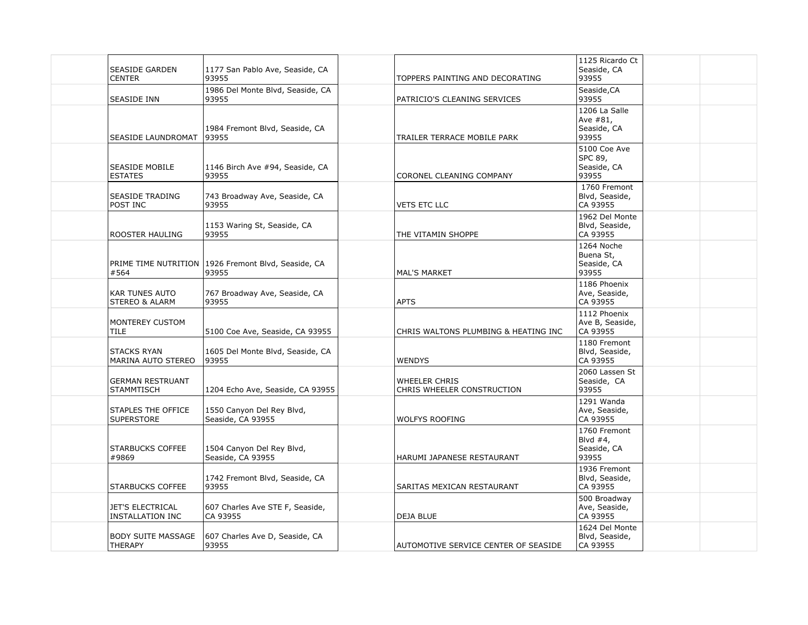| SEASIDE GARDEN<br>CENTER                           | 1177 San Pablo Ave, Seaside, CA<br>93955       | TOPPERS PAINTING AND DECORATING                    | 1125 Ricardo Ct<br>Seaside, CA<br>93955             |  |
|----------------------------------------------------|------------------------------------------------|----------------------------------------------------|-----------------------------------------------------|--|
| SEASIDE INN                                        | 1986 Del Monte Blvd, Seaside, CA<br>93955      | PATRICIO'S CLEANING SERVICES                       | Seaside, CA<br>93955                                |  |
| SEASIDE LAUNDROMAT                                 | 1984 Fremont Blvd, Seaside, CA<br>93955        | TRAILER TERRACE MOBILE PARK                        | 1206 La Salle<br>Ave #81,<br>Seaside, CA<br>93955   |  |
| <b>SEASIDE MOBILE</b><br><b>ESTATES</b>            | 1146 Birch Ave #94, Seaside, CA<br>93955       | CORONEL CLEANING COMPANY                           | 5100 Coe Ave<br>SPC 89,<br>Seaside, CA<br>93955     |  |
| <b>SEASIDE TRADING</b><br>POST INC                 | 743 Broadway Ave, Seaside, CA<br>93955         | <b>VETS ETC LLC</b>                                | 1760 Fremont<br>Blvd, Seaside,<br>CA 93955          |  |
| ROOSTER HAULING                                    | 1153 Waring St, Seaside, CA<br>93955           | THE VITAMIN SHOPPE                                 | 1962 Del Monte<br>Blvd, Seaside,<br>CA 93955        |  |
| PRIME TIME NUTRITION<br>#564                       | 1926 Fremont Blvd, Seaside, CA<br>93955        | <b>MAL'S MARKET</b>                                | 1264 Noche<br>Buena St,<br>Seaside, CA<br>93955     |  |
| <b>KAR TUNES AUTO</b><br><b>STEREO &amp; ALARM</b> | 767 Broadway Ave, Seaside, CA<br>93955         | <b>APTS</b>                                        | 1186 Phoenix<br>Ave, Seaside,<br>CA 93955           |  |
| MONTEREY CUSTOM<br><b>TILE</b>                     | 5100 Coe Ave, Seaside, CA 93955                | CHRIS WALTONS PLUMBING & HEATING INC               | 1112 Phoenix<br>Ave B, Seaside,<br>CA 93955         |  |
| <b>STACKS RYAN</b><br>MARINA AUTO STEREO           | 1605 Del Monte Blvd, Seaside, CA<br>93955      | WENDYS                                             | 1180 Fremont<br>Blvd, Seaside,<br>CA 93955          |  |
| <b>GERMAN RESTRUANT</b><br><b>STAMMTISCH</b>       | 1204 Echo Ave, Seaside, CA 93955               | <b>WHEELER CHRIS</b><br>CHRIS WHEELER CONSTRUCTION | 2060 Lassen St<br>Seaside, CA<br>93955              |  |
| STAPLES THE OFFICE<br><b>SUPERSTORE</b>            | 1550 Canyon Del Rey Blvd,<br>Seaside, CA 93955 | <b>WOLFYS ROOFING</b>                              | 1291 Wanda<br>Ave, Seaside,<br>CA 93955             |  |
| <b>STARBUCKS COFFEE</b><br>#9869                   | 1504 Canyon Del Rey Blvd,<br>Seaside, CA 93955 | HARUMI JAPANESE RESTAURANT                         | 1760 Fremont<br>Blvd $#4$ ,<br>Seaside, CA<br>93955 |  |
| <b>STARBUCKS COFFEE</b>                            | 1742 Fremont Blvd, Seaside, CA<br>93955        | SARITAS MEXICAN RESTAURANT                         | 1936 Fremont<br>Blvd, Seaside,<br>CA 93955          |  |
| <b>JET'S ELECTRICAL</b><br>INSTALLATION INC        | 607 Charles Ave STE F, Seaside,<br>CA 93955    | DEJA BLUE                                          | 500 Broadway<br>Ave, Seaside,<br>CA 93955           |  |
| <b>BODY SUITE MASSAGE</b><br><b>THERAPY</b>        | 607 Charles Ave D, Seaside, CA<br>93955        | AUTOMOTIVE SERVICE CENTER OF SEASIDE               | 1624 Del Monte<br>Blvd, Seaside,<br>CA 93955        |  |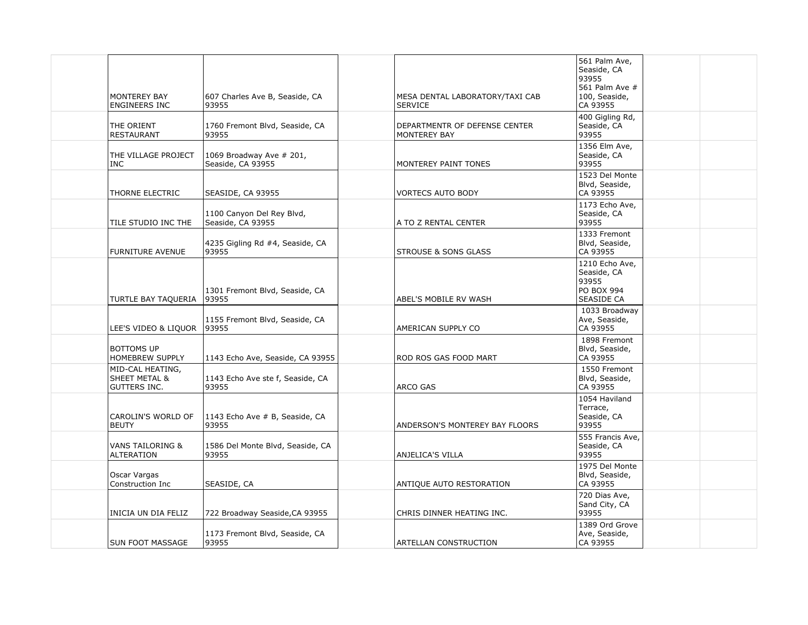| <b>MONTEREY BAY</b><br><b>ENGINEERS INC</b>                         | 607 Charles Ave B, Seaside, CA<br>93955        | MESA DENTAL LABORATORY/TAXI CAB<br><b>SERVICE</b>    | 561 Palm Ave,<br>Seaside, CA<br>93955<br>561 Palm Ave #<br>100, Seaside,<br>CA 93955 |  |
|---------------------------------------------------------------------|------------------------------------------------|------------------------------------------------------|--------------------------------------------------------------------------------------|--|
| THE ORIENT<br><b>RESTAURANT</b>                                     | 1760 Fremont Blvd, Seaside, CA<br>93955        | DEPARTMENTR OF DEFENSE CENTER<br><b>MONTEREY BAY</b> | 400 Gigling Rd,<br>Seaside, CA<br>93955                                              |  |
| THE VILLAGE PROJECT<br><b>INC</b>                                   | 1069 Broadway Ave # 201,<br>Seaside, CA 93955  | MONTEREY PAINT TONES                                 | 1356 Elm Ave,<br>Seaside, CA<br>93955                                                |  |
| THORNE ELECTRIC                                                     | SEASIDE, CA 93955                              | <b>VORTECS AUTO BODY</b>                             | 1523 Del Monte<br>Blvd, Seaside,<br>CA 93955                                         |  |
| TILE STUDIO INC THE                                                 | 1100 Canyon Del Rey Blvd,<br>Seaside, CA 93955 | A TO Z RENTAL CENTER                                 | 1173 Echo Ave,<br>Seaside, CA<br>93955                                               |  |
| <b>FURNITURE AVENUE</b>                                             | 4235 Gigling Rd #4, Seaside, CA<br>93955       | <b>STROUSE &amp; SONS GLASS</b>                      | 1333 Fremont<br>Blvd, Seaside,<br>CA 93955                                           |  |
| TURTLE BAY TAQUERIA                                                 | 1301 Fremont Blvd, Seaside, CA<br>93955        | ABEL'S MOBILE RV WASH                                | 1210 Echo Ave,<br>Seaside, CA<br>93955<br>PO BOX 994<br>SEASIDE CA                   |  |
| LEE'S VIDEO & LIQUOR   93955                                        | 1155 Fremont Blvd, Seaside, CA                 | AMERICAN SUPPLY CO                                   | 1033 Broadway<br>Ave, Seaside,<br>CA 93955                                           |  |
| <b>BOTTOMS UP</b><br><b>HOMEBREW SUPPLY</b>                         | 1143 Echo Ave, Seaside, CA 93955               | ROD ROS GAS FOOD MART                                | 1898 Fremont<br>Blvd, Seaside,<br>CA 93955                                           |  |
| MID-CAL HEATING,<br><b>SHEET METAL &amp;</b><br><b>GUTTERS INC.</b> | 1143 Echo Ave ste f, Seaside, CA<br>93955      | ARCO GAS                                             | 1550 Fremont<br>Blvd, Seaside,<br>CA 93955                                           |  |
| CAROLIN'S WORLD OF<br><b>BEUTY</b>                                  | 1143 Echo Ave # B, Seaside, CA<br>93955        | ANDERSON'S MONTEREY BAY FLOORS                       | 1054 Haviland<br>Terrace,<br>Seaside, CA<br>93955                                    |  |
| <b>VANS TAILORING &amp;</b><br><b>ALTERATION</b>                    | 1586 Del Monte Blvd, Seaside, CA<br>93955      | ANJELICA'S VILLA                                     | 555 Francis Ave,<br>Seaside, CA<br>93955                                             |  |
| Oscar Vargas<br>Construction Inc                                    | SEASIDE, CA                                    | ANTIQUE AUTO RESTORATION                             | 1975 Del Monte<br>Blvd, Seaside,<br>CA 93955                                         |  |
| INICIA UN DIA FELIZ                                                 | 722 Broadway Seaside, CA 93955                 | CHRIS DINNER HEATING INC.                            | 720 Dias Ave,<br>Sand City, CA<br>93955                                              |  |
| <b>SUN FOOT MASSAGE</b>                                             | 1173 Fremont Blvd, Seaside, CA<br>93955        | ARTELLAN CONSTRUCTION                                | 1389 Ord Grove<br>Ave, Seaside,<br>CA 93955                                          |  |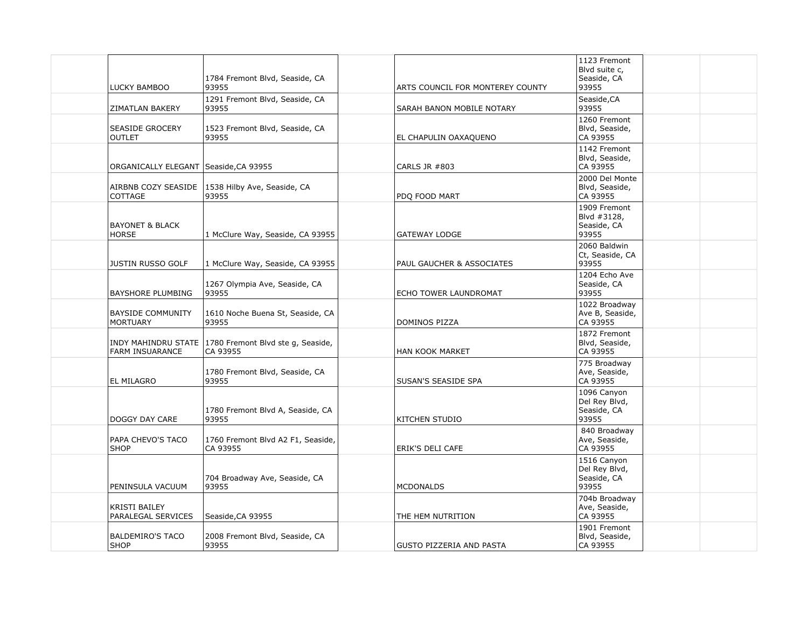| <b>LUCKY BAMBOO</b>                         | 1784 Fremont Blvd, Seaside, CA<br>93955                             | ARTS COUNCIL FOR MONTEREY COUNTY | 1123 Fremont<br>Blvd suite c,<br>Seaside, CA<br>93955 |  |
|---------------------------------------------|---------------------------------------------------------------------|----------------------------------|-------------------------------------------------------|--|
| ZIMATLAN BAKERY                             | 1291 Fremont Blvd, Seaside, CA<br>93955                             | SARAH BANON MOBILE NOTARY        | Seaside, CA<br>93955                                  |  |
| <b>SEASIDE GROCERY</b><br><b>OUTLET</b>     | 1523 Fremont Blvd, Seaside, CA<br>93955                             | EL CHAPULIN OAXAQUENO            | 1260 Fremont<br>Blvd, Seaside,<br>CA 93955            |  |
| ORGANICALLY ELEGANT   Seaside, CA 93955     |                                                                     | <b>CARLS JR #803</b>             | 1142 Fremont<br>Blvd, Seaside,<br>CA 93955            |  |
| AIRBNB COZY SEASIDE<br>COTTAGE              | 1538 Hilby Ave, Seaside, CA<br>93955                                | PDO FOOD MART                    | 2000 Del Monte<br>Blvd, Seaside,<br>CA 93955          |  |
| <b>BAYONET &amp; BLACK</b><br><b>HORSE</b>  | 1 McClure Way, Seaside, CA 93955                                    | <b>GATEWAY LODGE</b>             | 1909 Fremont<br>Blvd #3128,<br>Seaside, CA<br>93955   |  |
| <b>JUSTIN RUSSO GOLF</b>                    | 1 McClure Way, Seaside, CA 93955                                    | PAUL GAUCHER & ASSOCIATES        | 2060 Baldwin<br>Ct, Seaside, CA<br>93955              |  |
| BAYSHORE PLUMBING                           | 1267 Olympia Ave, Seaside, CA<br>93955                              | ECHO TOWER LAUNDROMAT            | 1204 Echo Ave<br>Seaside, CA<br>93955                 |  |
| <b>BAYSIDE COMMUNITY</b><br><b>MORTUARY</b> | 1610 Noche Buena St, Seaside, CA<br>93955                           | DOMINOS PIZZA                    | 1022 Broadway<br>Ave B, Seaside,<br>CA 93955          |  |
| <b>FARM INSUARANCE</b>                      | INDY MAHINDRU STATE   1780 Fremont Blvd ste g, Seaside,<br>CA 93955 | HAN KOOK MARKET                  | 1872 Fremont<br>Blvd, Seaside,<br>CA 93955            |  |
| <b>EL MILAGRO</b>                           | 1780 Fremont Blvd, Seaside, CA<br>93955                             | SUSAN'S SEASIDE SPA              | 775 Broadway<br>Ave, Seaside,<br>CA 93955             |  |
| DOGGY DAY CARE                              | 1780 Fremont Blvd A, Seaside, CA<br>93955                           | KITCHEN STUDIO                   | 1096 Canyon<br>Del Rey Blvd,<br>Seaside, CA<br>93955  |  |
| PAPA CHEVO'S TACO<br><b>SHOP</b>            | 1760 Fremont Blvd A2 F1, Seaside,<br>CA 93955                       | ERIK'S DELI CAFE                 | 840 Broadway<br>Ave, Seaside,<br>CA 93955             |  |
| PENINSULA VACUUM                            | 704 Broadway Ave, Seaside, CA<br>93955                              | <b>MCDONALDS</b>                 | 1516 Canyon<br>Del Rey Blvd,<br>Seaside, CA<br>93955  |  |
| <b>KRISTI BAILEY</b><br>PARALEGAL SERVICES  | Seaside, CA 93955                                                   | THE HEM NUTRITION                | 704b Broadway<br>Ave, Seaside,<br>CA 93955            |  |
| <b>BALDEMIRO'S TACO</b><br><b>SHOP</b>      | 2008 Fremont Blvd, Seaside, CA<br>93955                             | <b>GUSTO PIZZERIA AND PASTA</b>  | 1901 Fremont<br>Blvd, Seaside,<br>CA 93955            |  |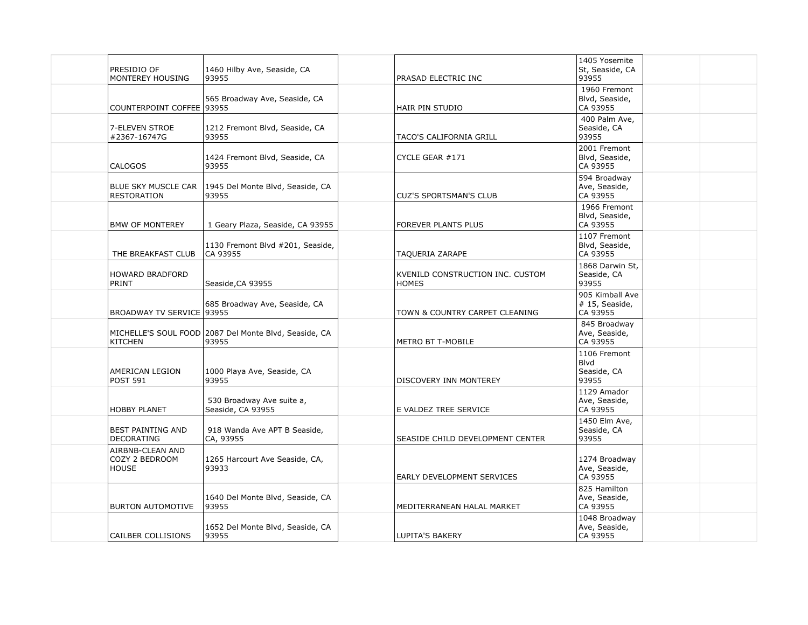| PRESIDIO OF         | MONTEREY HOUSING                   | 1460 Hilby Ave, Seaside, CA<br>93955                           | PRASAD ELECTRIC INC                              | 1405 Yosemite<br>St, Seaside, CA<br>93955     |  |
|---------------------|------------------------------------|----------------------------------------------------------------|--------------------------------------------------|-----------------------------------------------|--|
|                     | COUNTERPOINT COFFEE   93955        | 565 Broadway Ave, Seaside, CA                                  | HAIR PIN STUDIO                                  | 1960 Fremont<br>Blvd, Seaside,<br>CA 93955    |  |
| #2367-16747G        | 7-ELEVEN STROE                     | 1212 Fremont Blvd, Seaside, CA<br>93955                        | TACO'S CALIFORNIA GRILL                          | 400 Palm Ave,<br>Seaside, CA<br>93955         |  |
| <b>CALOGOS</b>      |                                    | 1424 Fremont Blvd, Seaside, CA<br>93955                        | CYCLE GEAR #171                                  | 2001 Fremont<br>Blvd, Seaside,<br>CA 93955    |  |
| RESTORATION         | <b>BLUE SKY MUSCLE CAR</b>         | 1945 Del Monte Blvd, Seaside, CA<br>93955                      | <b>CUZ'S SPORTSMAN'S CLUB</b>                    | 594 Broadway<br>Ave, Seaside,<br>CA 93955     |  |
|                     | <b>BMW OF MONTEREY</b>             | 1 Geary Plaza, Seaside, CA 93955                               | FOREVER PLANTS PLUS                              | 1966 Fremont<br>Blvd, Seaside,<br>CA 93955    |  |
|                     | THE BREAKFAST CLUB                 | 1130 Fremont Blvd #201, Seaside,<br>CA 93955                   | TAQUERIA ZARAPE                                  | 1107 Fremont<br>Blvd, Seaside,<br>CA 93955    |  |
| PRINT               | HOWARD BRADFORD                    | Seaside, CA 93955                                              | KVENILD CONSTRUCTION INC. CUSTOM<br><b>HOMES</b> | 1868 Darwin St,<br>Seaside, CA<br>93955       |  |
|                     | BROADWAY TV SERVICE 93955          | 685 Broadway Ave, Seaside, CA                                  | TOWN & COUNTRY CARPET CLEANING                   | 905 Kimball Ave<br># 15, Seaside,<br>CA 93955 |  |
| <b>KITCHEN</b>      |                                    | MICHELLE'S SOUL FOOD 2087 Del Monte Blvd, Seaside, CA<br>93955 | <b>METRO BT T-MOBILE</b>                         | 845 Broadway<br>Ave, Seaside,<br>CA 93955     |  |
| <b>POST 591</b>     | AMERICAN LEGION                    | 1000 Playa Ave, Seaside, CA<br>93955                           | DISCOVERY INN MONTEREY                           | 1106 Fremont<br>Blvd<br>Seaside, CA<br>93955  |  |
| <b>HOBBY PLANET</b> |                                    | 530 Broadway Ave suite a,<br>Seaside, CA 93955                 | E VALDEZ TREE SERVICE                            | 1129 Amador<br>Ave, Seaside,<br>CA 93955      |  |
| <b>DECORATING</b>   | <b>BEST PAINTING AND</b>           | 918 Wanda Ave APT B Seaside,<br>CA, 93955                      | SEASIDE CHILD DEVELOPMENT CENTER                 | 1450 Elm Ave,<br>Seaside, CA<br>93955         |  |
| <b>HOUSE</b>        | AIRBNB-CLEAN AND<br>COZY 2 BEDROOM | 1265 Harcourt Ave Seaside, CA,<br>93933                        | EARLY DEVELOPMENT SERVICES                       | 1274 Broadway<br>Ave, Seaside,<br>CA 93955    |  |
|                     | <b>BURTON AUTOMOTIVE</b>           | 1640 Del Monte Blvd, Seaside, CA<br>93955                      | MEDITERRANEAN HALAL MARKET                       | 825 Hamilton<br>Ave, Seaside,<br>CA 93955     |  |
|                     | CAILBER COLLISIONS                 | 1652 Del Monte Blvd, Seaside, CA<br>93955                      | <b>LUPITA'S BAKERY</b>                           | 1048 Broadway<br>Ave, Seaside,<br>CA 93955    |  |